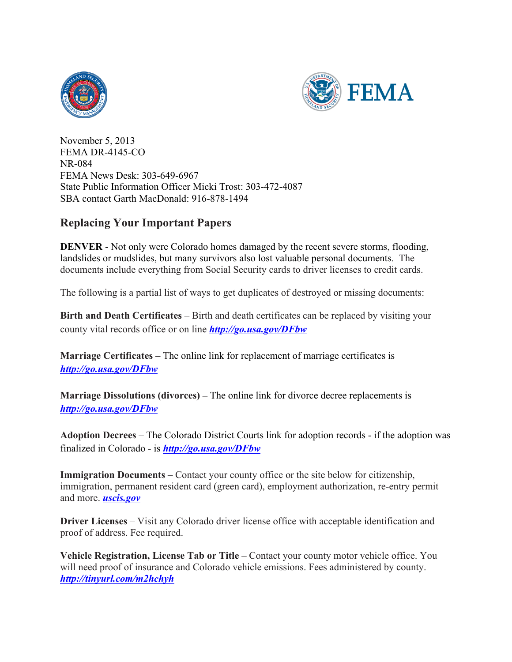



November 5, 2013 FEMA DR-4145-CO NR-084 FEMA News Desk: 303-649-6967 State Public Information Officer Micki Trost: 303-472-4087 SBA contact Garth MacDonald: 916-878-1494

## **Replacing Your Important Papers**

**DENVER** - Not only were Colorado homes damaged by the recent severe storms, flooding, landslides or mudslides, but many survivors also lost valuable personal documents. The documents include everything from Social Security cards to driver licenses to credit cards.

The following is a partial list of ways to get duplicates of destroyed or missing documents:

**Birth and Death Certificates** – Birth and death certificates can be replaced by visiting your county vital records office or on line *http://go.usa.gov/DFbw*

**Marriage Certificates –** The online link for replacement of marriage certificates is *http://go.usa.gov/DFbw*

**Marriage Dissolutions (divorces) –** The online link for divorce decree replacements is *http://go.usa.gov/DFbw*

**Adoption Decrees** – The Colorado District Courts link for adoption records - if the adoption was finalized in Colorado - is *http://go.usa.gov/DFbw*

**Immigration Documents** – Contact your county office or the site below for citizenship, immigration, permanent resident card (green card), employment authorization, re-entry permit and more. *uscis.gov*

**Driver Licenses** – Visit any Colorado driver license office with acceptable identification and proof of address. Fee required.

**Vehicle Registration, License Tab or Title** – Contact your county motor vehicle office. You will need proof of insurance and Colorado vehicle emissions. Fees administered by county. *http://tinyurl.com/m2hchyh*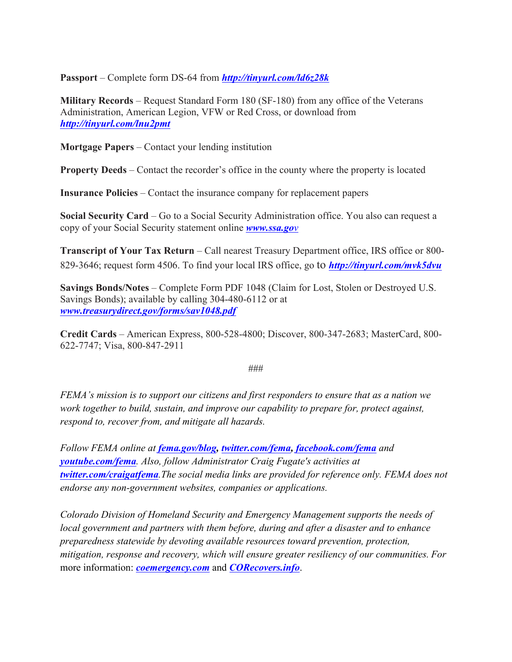**Passport** – Complete form DS-64 from *http://tinyurl.com/ld6z28k*

**Military Records** – Request Standard Form 180 (SF-180) from any office of the Veterans Administration, American Legion, VFW or Red Cross, or download from *http://tinyurl.com/lnu2pmt*

**Mortgage Papers** – Contact your lending institution

**Property Deeds** – Contact the recorder's office in the county where the property is located

**Insurance Policies** – Contact the insurance company for replacement papers

**Social Security Card** – Go to a Social Security Administration office. You also can request a copy of your Social Security statement online *www.ssa.gov*

**Transcript of Your Tax Return** – Call nearest Treasury Department office, IRS office or 800-829-3646; request form 4506. To find your local IRS office, go to *http://tinyurl.com/mvk5dvu*

**Savings Bonds/Notes** – Complete Form PDF 1048 (Claim for Lost, Stolen or Destroyed U.S. Savings Bonds); available by calling 304-480-6112 or at *www.treasurydirect.gov/forms/sav1048.pdf*

**Credit Cards** – American Express, 800-528-4800; Discover, 800-347-2683; MasterCard, 800- 622-7747; Visa, 800-847-2911

###

*FEMA's mission is to support our citizens and first responders to ensure that as a nation we work together to build, sustain, and improve our capability to prepare for, protect against, respond to, recover from, and mitigate all hazards.*

*Follow FEMA online at fema.gov/blog, twitter.com/fema, facebook.com/fema and youtube.com/fema. Also, follow Administrator Craig Fugate's activities at twitter.com/craigatfema.The social media links are provided for reference only. FEMA does not endorse any non-government websites, companies or applications.*

*Colorado Division of Homeland Security and Emergency Management supports the needs of local government and partners with them before, during and after a disaster and to enhance preparedness statewide by devoting available resources toward prevention, protection, mitigation, response and recovery, which will ensure greater resiliency of our communities. For*  more information: *coemergency.com* and *CORecovers.info*.